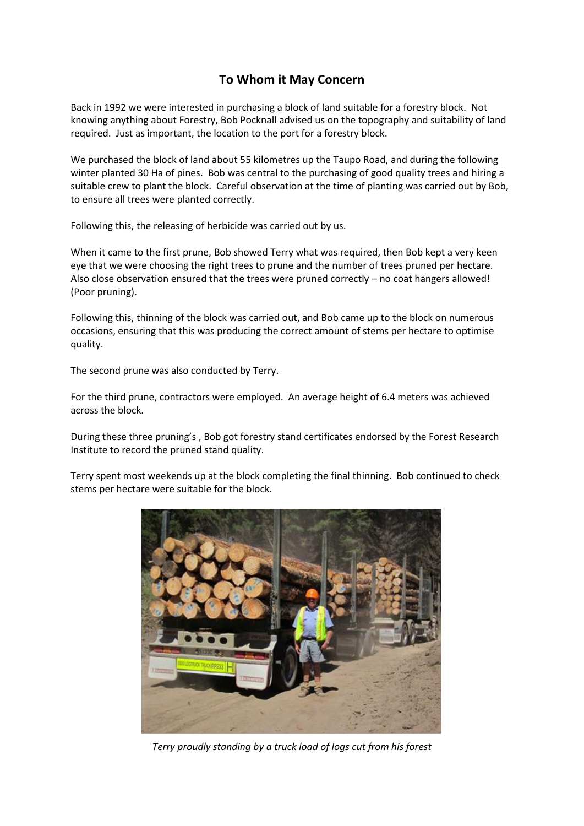## **To Whom it May Concern**

Back in 1992 we were interested in purchasing a block of land suitable for a forestry block. Not knowing anything about Forestry, Bob Pocknall advised us on the topography and suitability of land required. Just as important, the location to the port for a forestry block.

We purchased the block of land about 55 kilometres up the Taupo Road, and during the following winter planted 30 Ha of pines. Bob was central to the purchasing of good quality trees and hiring a suitable crew to plant the block. Careful observation at the time of planting was carried out by Bob, to ensure all trees were planted correctly.

Following this, the releasing of herbicide was carried out by us.

When it came to the first prune, Bob showed Terry what was required, then Bob kept a very keen eye that we were choosing the right trees to prune and the number of trees pruned per hectare. Also close observation ensured that the trees were pruned correctly – no coat hangers allowed! (Poor pruning).

Following this, thinning of the block was carried out, and Bob came up to the block on numerous occasions, ensuring that this was producing the correct amount of stems per hectare to optimise quality.

The second prune was also conducted by Terry.

For the third prune, contractors were employed. An average height of 6.4 meters was achieved across the block.

During these three pruning's , Bob got forestry stand certificates endorsed by the Forest Research Institute to record the pruned stand quality.

Terry spent most weekends up at the block completing the final thinning. Bob continued to check stems per hectare were suitable for the block.



*Terry proudly standing by a truck load of logs cut from his forest*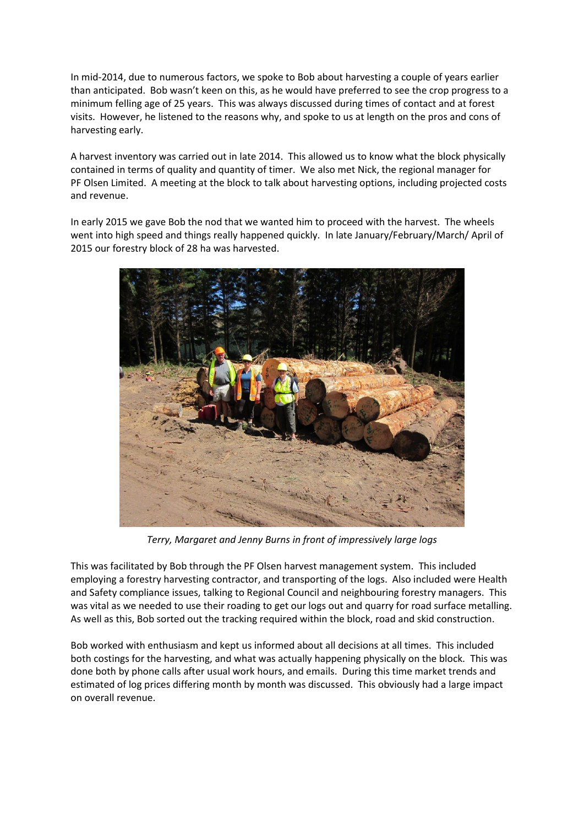In mid-2014, due to numerous factors, we spoke to Bob about harvesting a couple of years earlier than anticipated. Bob wasn't keen on this, as he would have preferred to see the crop progress to a minimum felling age of 25 years. This was always discussed during times of contact and at forest visits. However, he listened to the reasons why, and spoke to us at length on the pros and cons of harvesting early.

A harvest inventory was carried out in late 2014. This allowed us to know what the block physically contained in terms of quality and quantity of timer. We also met Nick, the regional manager for PF Olsen Limited. A meeting at the block to talk about harvesting options, including projected costs and revenue.

In early 2015 we gave Bob the nod that we wanted him to proceed with the harvest. The wheels went into high speed and things really happened quickly. In late January/February/March/ April of 2015 our forestry block of 28 ha was harvested.



*Terry, Margaret and Jenny Burns in front of impressively large logs*

This was facilitated by Bob through the PF Olsen harvest management system. This included employing a forestry harvesting contractor, and transporting of the logs. Also included were Health and Safety compliance issues, talking to Regional Council and neighbouring forestry managers. This was vital as we needed to use their roading to get our logs out and quarry for road surface metalling. As well as this, Bob sorted out the tracking required within the block, road and skid construction.

Bob worked with enthusiasm and kept us informed about all decisions at all times. This included both costings for the harvesting, and what was actually happening physically on the block. This was done both by phone calls after usual work hours, and emails. During this time market trends and estimated of log prices differing month by month was discussed. This obviously had a large impact on overall revenue.